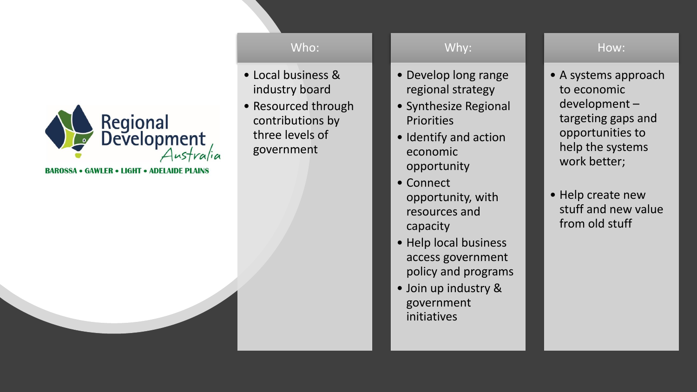

**BAROSSA • GAWLER • LIGHT • ADELAIDE PLAINS** 

#### Who:

- Local business & industry board
- Resourced through contributions by three levels of government

#### Why:

- Develop long range regional strategy
- Synthesize Regional **Priorities**
- Identify and action economic opportunity
- Connect opportunity, with resources and capacity
- Help local business access government policy and programs
- Join up industry & government initiatives

#### How:

- A systems approach to economic development – targeting gaps and opportunities to help the systems work better;
- Help create new stuff and new value from old stuff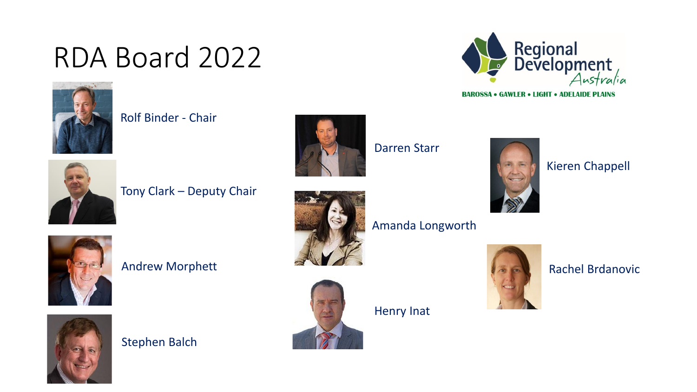## RDA Board 2022



Rolf Binder - Chair



Tony Clark – Deputy Chair



Darren Starr



Kieren Chappell

Australia

Regional<br>Development

**BAROSSA • GAWLER • LIGHT • ADELAIDE PLAINS** 





Andrew Morphett



#### Stephen Balch



Henry Inat



#### Rachel Brdanovic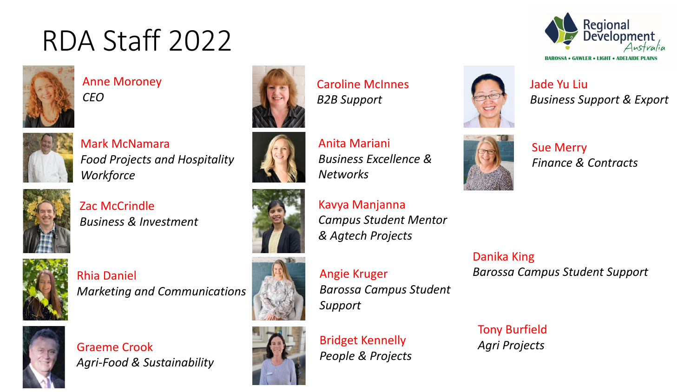## RDA Staff 2022



Anne Moroney *CEO*



Mark McNamara *Food Projects and Hospitality Workforce*



Zac McCrindle *Business & Investment*



Rhia Daniel *Marketing and Communications*



Graeme Crook *Agri-Food & Sustainability*









Angie Kruger *Barossa Campus Student Support*

*Campus Student Mentor* 

*Business Excellence &* 



Bridget Kennelly *People & Projects*

Kavya Manjanna

Caroline McInnes

*B2B Support*

Anita Mariani

*Networks*

*& Agtech Projects*





**BAROSSA • GAWLER • LIGHT • ADELA** 



Jade Yu Liu *Business Support & Export*



Sue Merry *Finance & Contracts*

Danika King *Barossa Campus Student Support*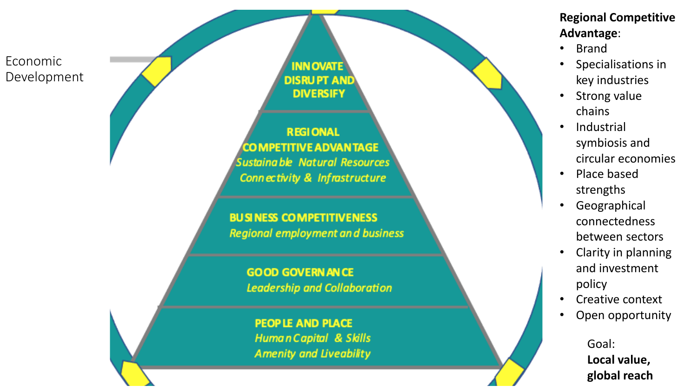

#### **Regional Competitive Advantage** :

- Brand
- Specialisations in key industries
- Strong value chains
- **Industrial** symbiosis and circular economies
- Place based strengths
- **Geographical** connectedness between sectors
- Clarity in planning and investment policy
- Creative context
- Open opportunity

Goal: **Local value, global reach**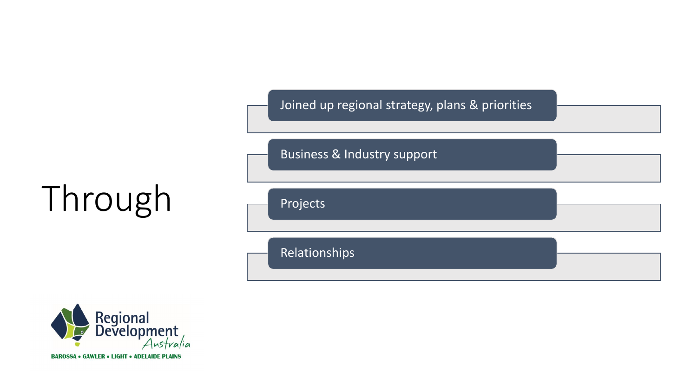

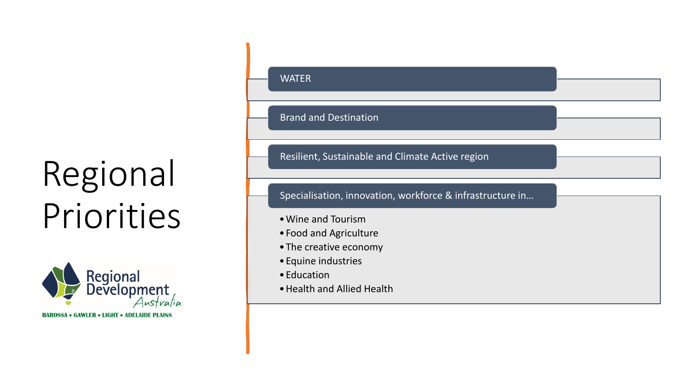# Regional Priorities



**BAROSSA • GAWLER • LIGHT • ADELAIDE PLAINS** 

### WATER Brand and Destination Resilient, Sustainable and Climate Active region •Wine and Tourism •Food and Agriculture •The creative economy •Equine industries •Education •Health and Allied Health Specialisation, innovation, workforce & infrastructure in…